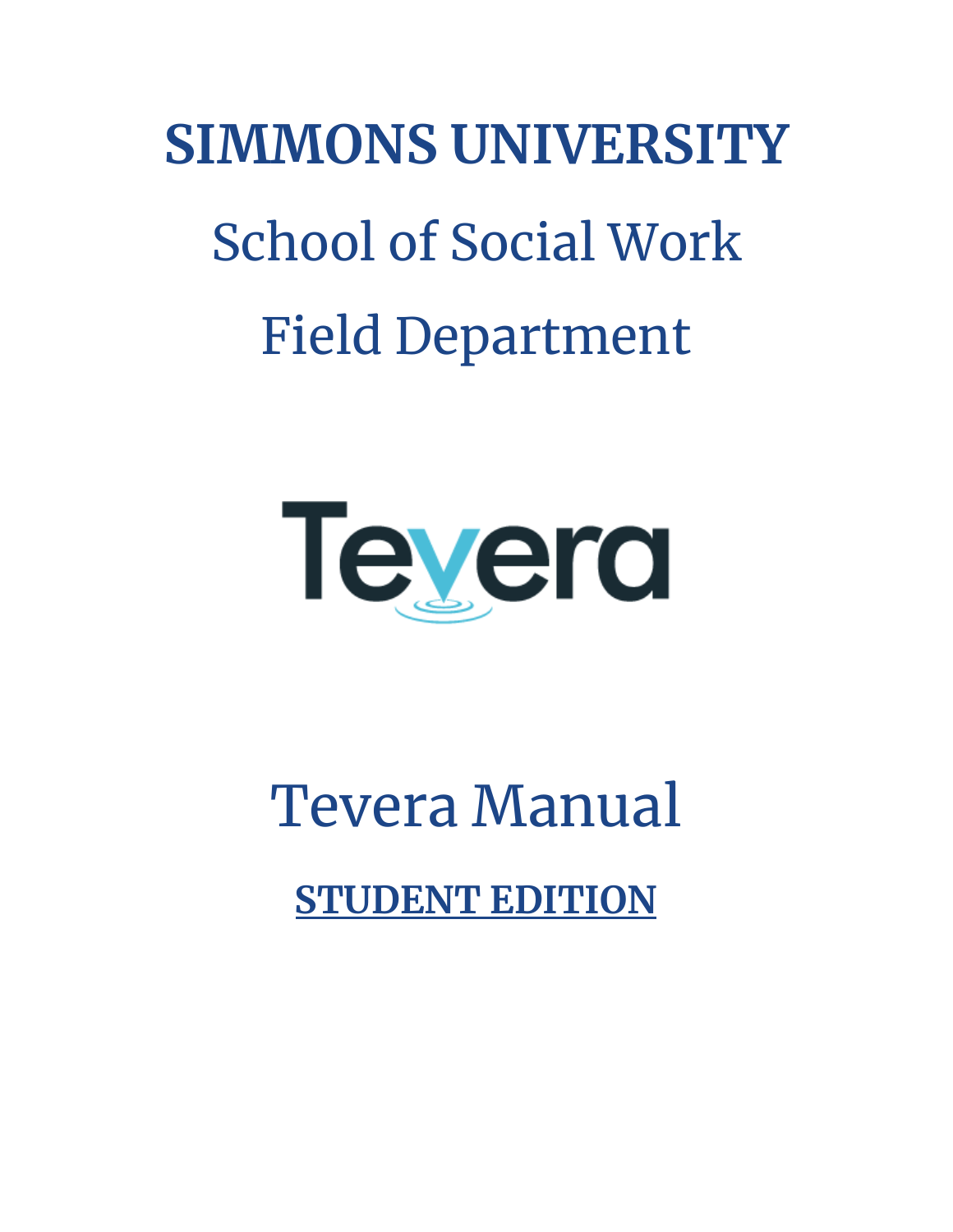# School of Social Work **SIMMONS UNIVERSITY** Field Department



Tevera Manual

**STUDENT EDITION**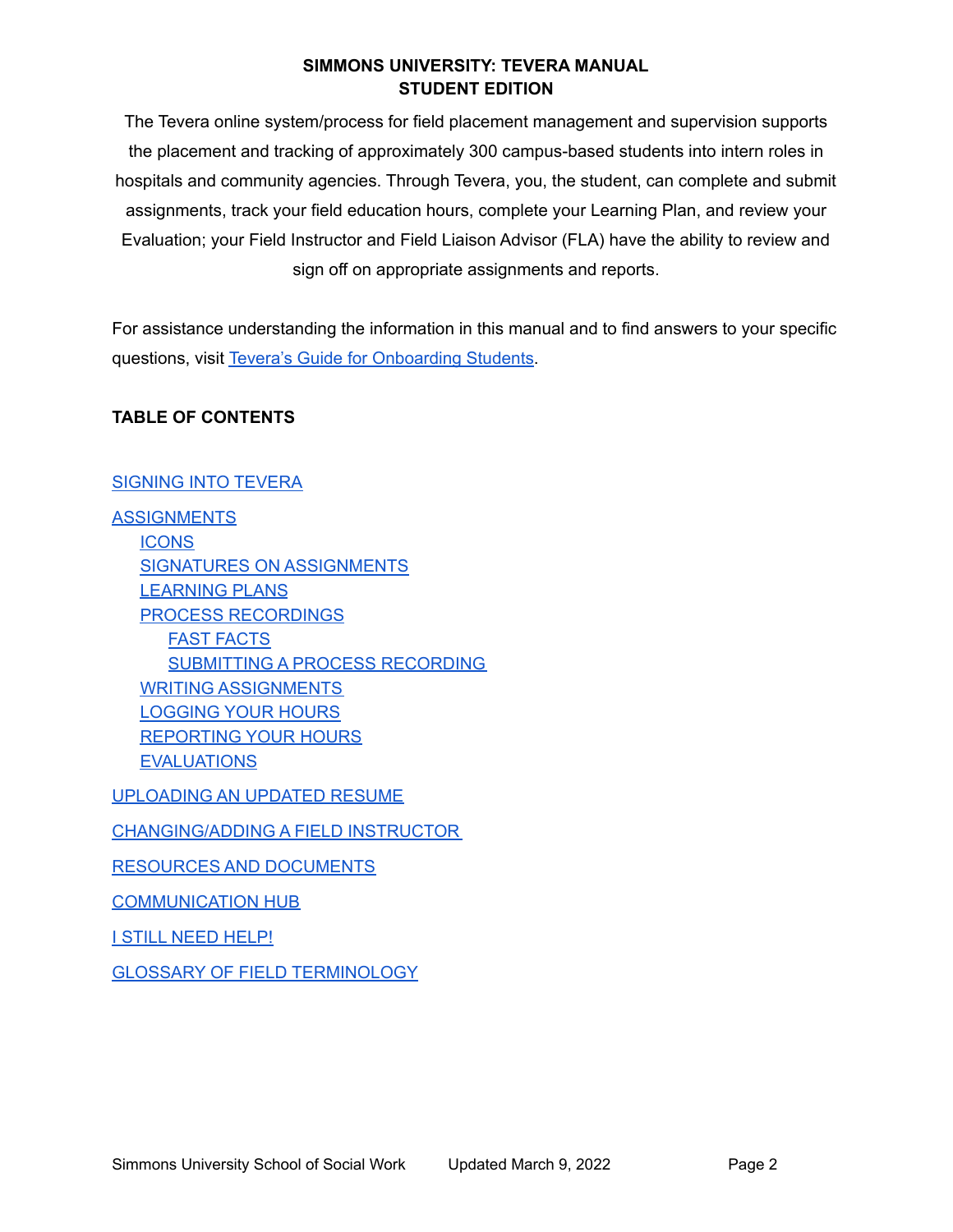The Tevera online system/process for field placement management and supervision supports the placement and tracking of approximately 300 campus-based students into intern roles in hospitals and community agencies. Through Tevera, you, the student, can complete and submit assignments, track your field education hours, complete your Learning Plan, and review your Evaluation; your Field Instructor and Field Liaison Advisor (FLA) have the ability to review and sign off on appropriate assignments and reports.

 For assistance understanding the information in this manual and to find answers to your specific questions, visit Tevera's Guide for [Onboarding](https://knowledge.tevera.com/space/OS/1340276737/Onboarding+Home+%7C+Students) Students.

# **TABLE OF CONTENTS**

# [SIGNING](#page-2-0) INTO TEVERA

 SIGNATURES ON [ASSIGNMENTS](#page-4-1) [SUBMITTING](#page-6-2) A PROCESS RECORDING [LOGGING](#page-8-0) YOUR HOURS [REPORTING](#page-8-1) YOUR HOURS **[ASSIGNMENTS](#page-3-0) [ICONS](#page-4-0)** [LEARNING](#page-5-0) PLANS PROCESS [RECORDINGS](#page-6-0) FAST [FACTS](#page-6-1) WRITING [ASSIGNMENTS](#page-7-0) **[EVALUATIONS](#page-9-0)** 

[UPLOADING](#page-10-0) AN UPDATED RESUME

[CHANGING/ADDING](#page-11-0) A FIELD INSTRUCTOR

RESOURCES AND [DOCUMENTS](#page-11-1)

[COMMUNICATION](#page-12-0) HUB

<u>I STILL NEED [HELP!](#page-12-1)</u>

GLOSSARY OF FIELD [TERMINOLOGY](#page-15-0)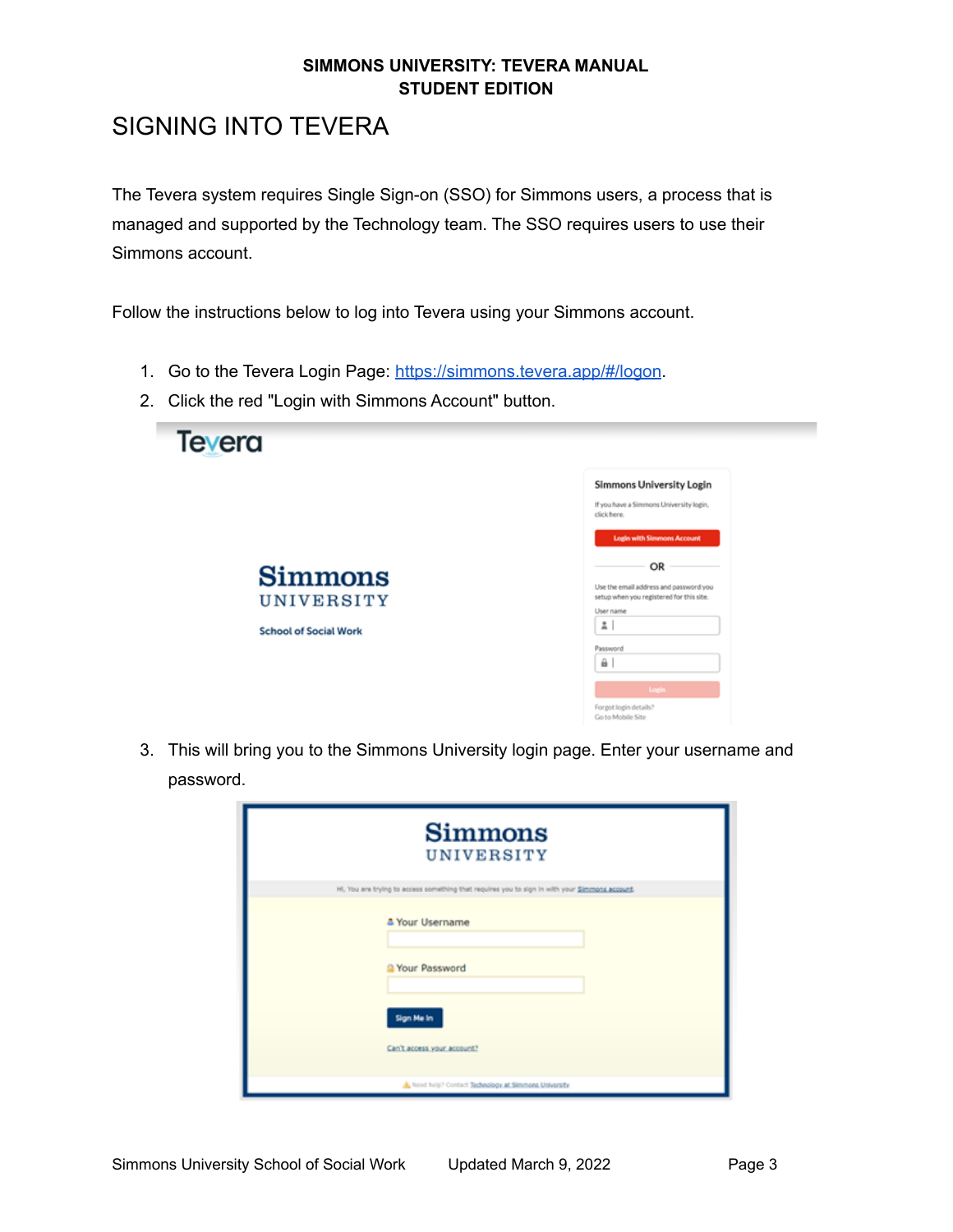# <span id="page-2-0"></span>SIGNING INTO TEVERA

 The Tevera system requires Single Sign-on (SSO) for Simmons users, a process that is managed and supported by the Technology team. The SSO requires users to use their Simmons account.

Follow the instructions below to log into Tevera using your Simmons account.

- 1. Go to the Tevera Login Page: <https://simmons.tevera.app/#/logon>.
- 2. Click the red "Login with Simmons Account" button.



 3. This will bring you to the Simmons University login page. Enter your username and password.

| <b>Simmons</b><br>UNIVERSITY                                                                   |  |  |
|------------------------------------------------------------------------------------------------|--|--|
| Hi, You are trying to access something that requires you to sign in with your Simmons account. |  |  |
| <sup>4</sup> Your Username<br><sup>2</sup> Your Password<br>Sign Me In                         |  |  |
| Can't access your account?                                                                     |  |  |
| Nood help? Contact Technology at Simmons University                                            |  |  |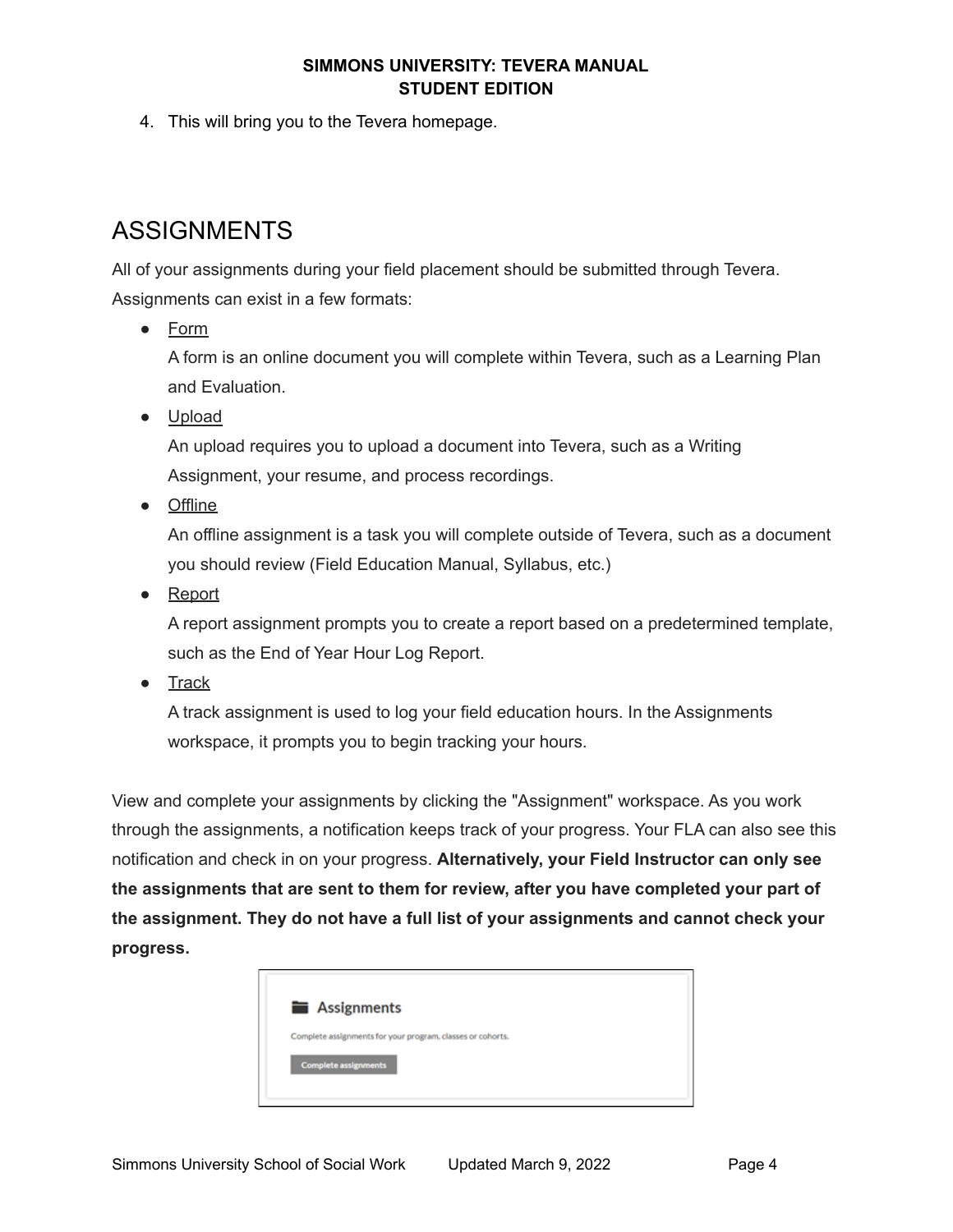4. This will bring you to the Tevera homepage.

# <span id="page-3-0"></span>ASSIGNMENTS

 All of your assignments during your field placement should be submitted through Tevera. Assignments can exist in a few formats:

● Form

 A form is an online document you will complete within Tevera, such as a Learning Plan and Evaluation.

● Upload

 An upload requires you to upload a document into Tevera, such as a Writing Assignment, your resume, and process recordings.

● Offline

 An offline assignment is a task you will complete outside of Tevera, such as a document you should review (Field Education Manual, Syllabus, etc.)

● Report

 A report assignment prompts you to create a report based on a predetermined template, such as the End of Year Hour Log Report.

● Track

 A track assignment is used to log your field education hours. In the Assignments workspace, it prompts you to begin tracking your hours.

 View and complete your assignments by clicking the "Assignment" workspace. As you work through the assignments, a notification keeps track of your progress. Your FLA can also see this notification and check in on your progress. **Alternatively, your Field Instructor can only see the assignments that are sent to them for review, after you have completed your part of the assignment. They do not have a full list of your assignments and cannot check your progress.**

| Assignments                                                |  |
|------------------------------------------------------------|--|
| Complete assignments for your program, classes or cohorts. |  |
| <b>Complete assignments</b>                                |  |
|                                                            |  |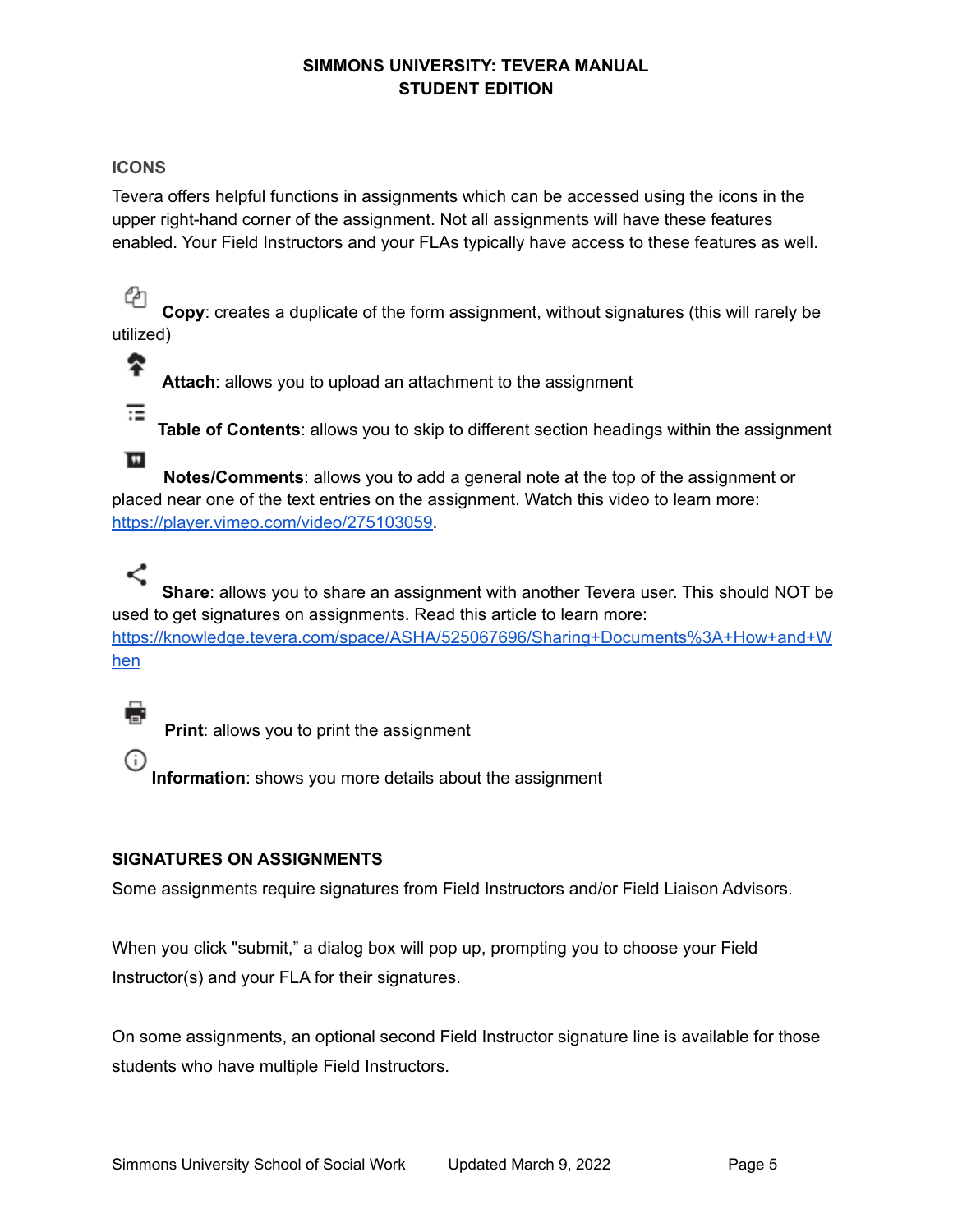# <span id="page-4-0"></span>**ICONS**

 Tevera offers helpful functions in assignments which can be accessed using the icons in the upper right-hand corner of the assignment. Not all assignments will have these features enabled. Your Field Instructors and your FLAs typically have access to these features as well.

4 **Copy**: creates a duplicate of the form assignment, without signatures (this will rarely be utilized)

⋭ **Attach**: allows you to upload an attachment to the assignment ☶

 **Table of Contents**: allows you to skip to different section headings within the assignment

 $\blacksquare$  **Notes/Comments**: allows you to add a general note at the top of the assignment or placed near one of the text entries on the assignment. Watch this video to learn more: [https://player.vimeo.com/video/275103059.](https://player.vimeo.com/video/275103059)

# ≺

 **Share**: allows you to share an assignment with another Tevera user. This should NOT be used to get signatures on assignments. Read this article to learn more: [https://knowledge.tevera.com/space/ASHA/525067696/Sharing+Documents%3A+How+and+W](https://knowledge.tevera.com/space/ASHA/525067696/Sharing+Documents%3A+How+and+When) [hen](https://knowledge.tevera.com/space/ASHA/525067696/Sharing+Documents%3A+How+and+When)

**Print**: allows you to print the assignment

**Information**: shows you more details about the assignment

# <span id="page-4-1"></span> **SIGNATURES ON ASSIGNMENTS**

Some assignments require signatures from Field Instructors and/or Field Liaison Advisors.

 When you click "submit," a dialog box will pop up, prompting you to choose your Field Instructor(s) and your FLA for their signatures.

 On some assignments, an optional second Field Instructor signature line is available for those students who have multiple Field Instructors.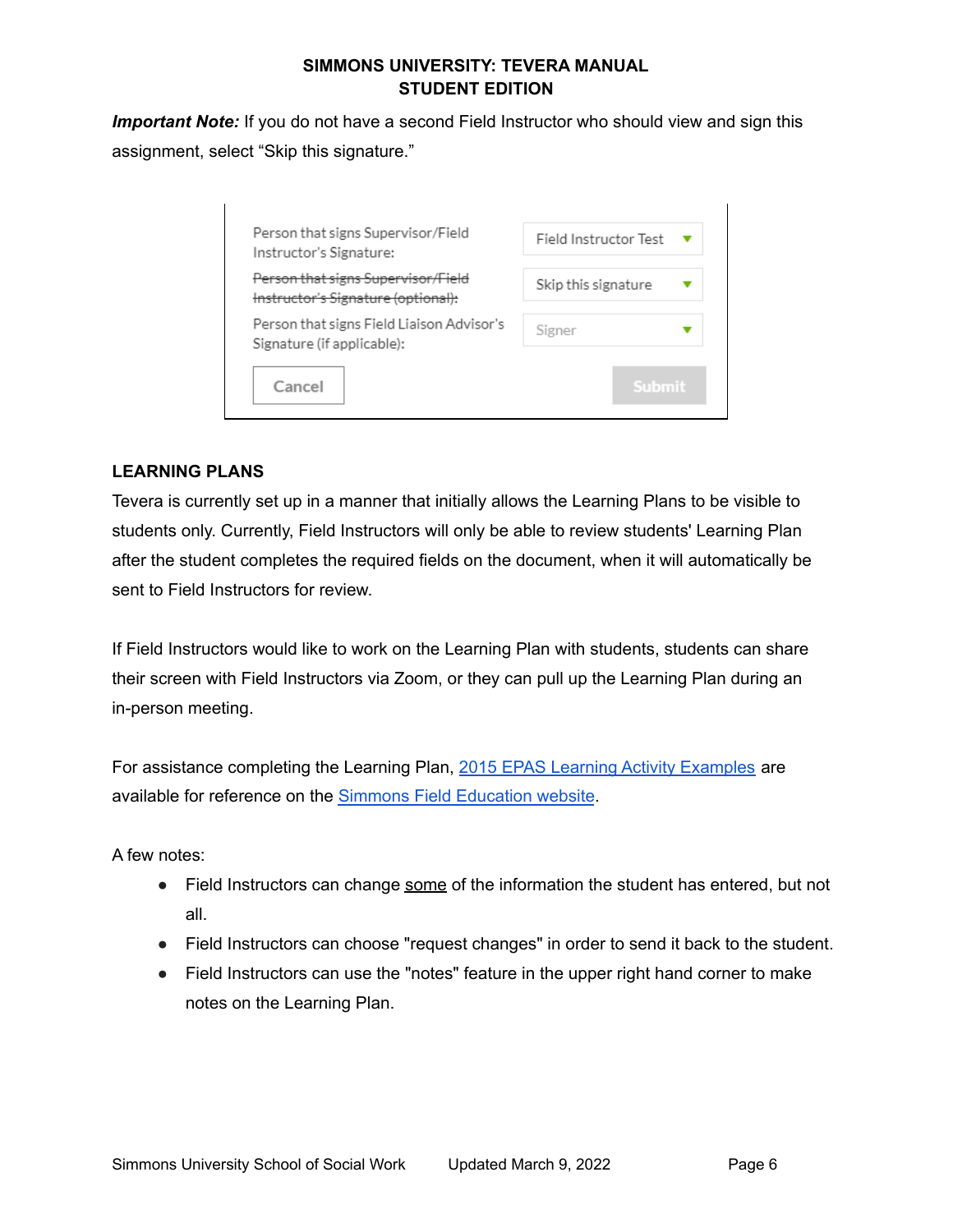*Important Note:* If you do not have a second Field Instructor who should view and sign this assignment, select "Skip this signature."

| Person that signs Supervisor/Field<br>Instructor's Signature:            | Field Instructor Test |
|--------------------------------------------------------------------------|-----------------------|
| Person that signs Supervisor/Field<br>Instructor's Signature (optional): | Skip this signature   |
| Person that signs Field Liaison Advisor's<br>Signature (if applicable):  | Signer                |
| Cancel                                                                   | Submit                |

# <span id="page-5-0"></span>**LEARNING PLANS**

 Tevera is currently set up in a manner that initially allows the Learning Plans to be visible to students only. Currently, Field Instructors will only be able to review students' Learning Plan after the student completes the required fields on the document, when it will automatically be sent to Field Instructors for review.

 If Field Instructors would like to work on the Learning Plan with students, students can share their screen with Field Instructors via Zoom, or they can pull up the Learning Plan during an in-person meeting.

For assistance completing the Learning Plan, 2015 EPAS Learning Activity [Examples](https://internal.simmons.edu/wp-content/uploads/2019/07/2015-EPAS-Learning-Activity-Examples.pdf) are available for reference on the **Simmons Field [Education](https://internal.simmons.edu/students/academics/ssw/msw-students/field-education/forms-downloads) website**.

A few notes:

- Field Instructors can change some of the information the student has entered, but not all.
- Field Instructors can choose "request changes" in order to send it back to the student.
- notes on the Learning Plan. ● Field Instructors can use the "notes" feature in the upper right hand corner to make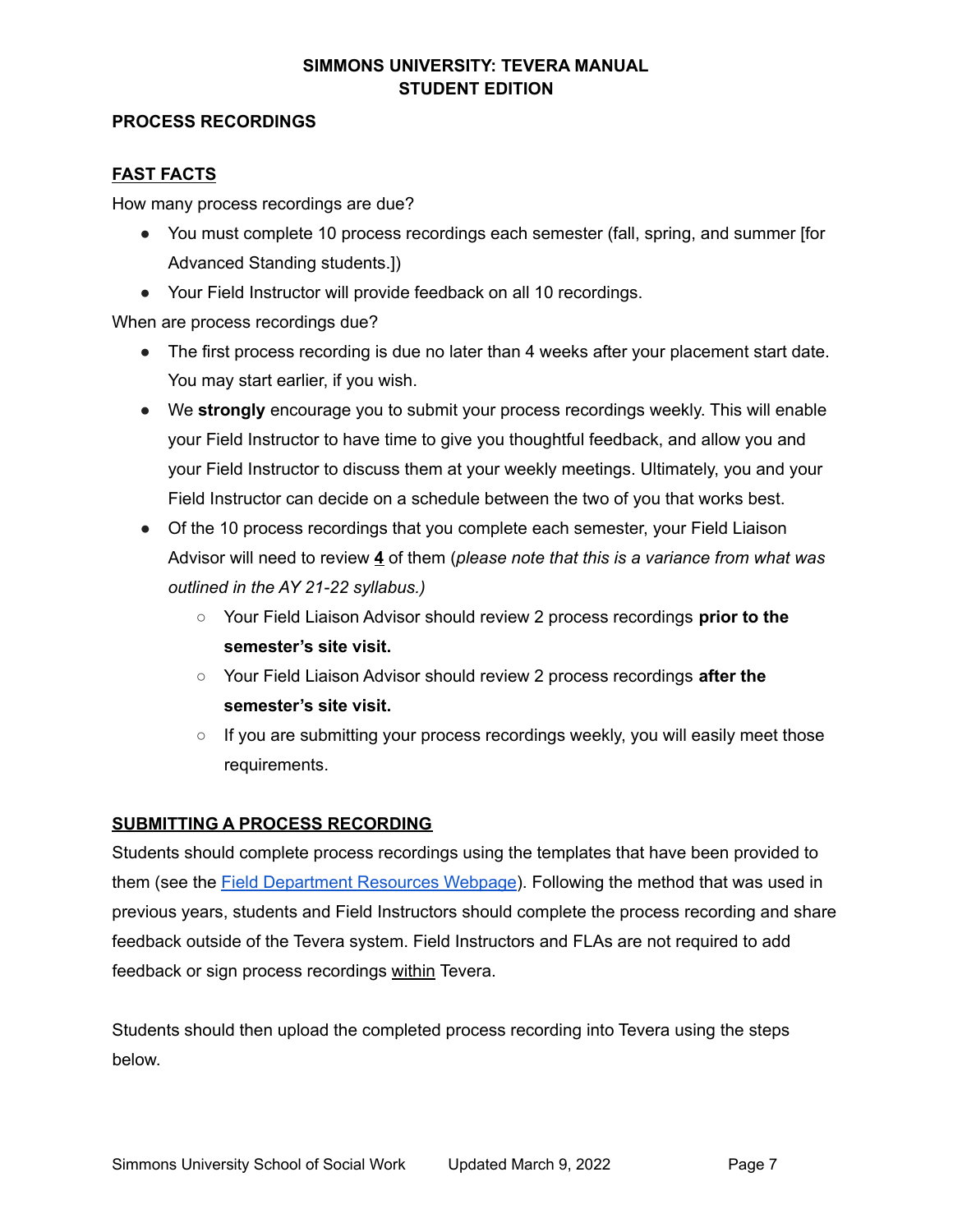#### <span id="page-6-0"></span>**PROCESS RECORDINGS**

# <span id="page-6-1"></span>**FAST FACTS**

How many process recordings are due?

- ● You must complete 10 process recordings each semester (fall, spring, and summer [for Advanced Standing students.])
- Your Field Instructor will provide feedback on all 10 recordings.

When are process recordings due?

- ● The first process recording is due no later than 4 weeks after your placement start date. You may start earlier, if you wish.
- ● We **strongly** encourage you to submit your process recordings weekly. This will enable your Field Instructor to have time to give you thoughtful feedback, and allow you and your Field Instructor to discuss them at your weekly meetings. Ultimately, you and your Field Instructor can decide on a schedule between the two of you that works best.
- ● Of the 10 process recordings that you complete each semester, your Field Liaison Advisor will need to review **4** of them (*please note that this is a variance from what was outlined in the AY 21-22 syllabus.)*
	- ○ Your Field Liaison Advisor should review 2 process recordings **prior to the semester's site visit.**
	- ○ Your Field Liaison Advisor should review 2 process recordings **after the semester's site visit.**
	- If you are submitting your process recordings weekly, you will easily meet those requirements.

# <span id="page-6-2"></span> **SUBMITTING A PROCESS RECORDING**

 Students should complete process recordings using the templates that have been provided to them (see the Field [Department](https://internal.simmons.edu/students/academics/ssw/msw-students/field-education/resources) Resources Webpage). Following the method that was used in previous years, students and Field Instructors should complete the process recording and share feedback outside of the Tevera system. Field Instructors and FLAs are not required to add feedback or sign process recordings within Tevera.

 Students should then upload the completed process recording into Tevera using the steps below.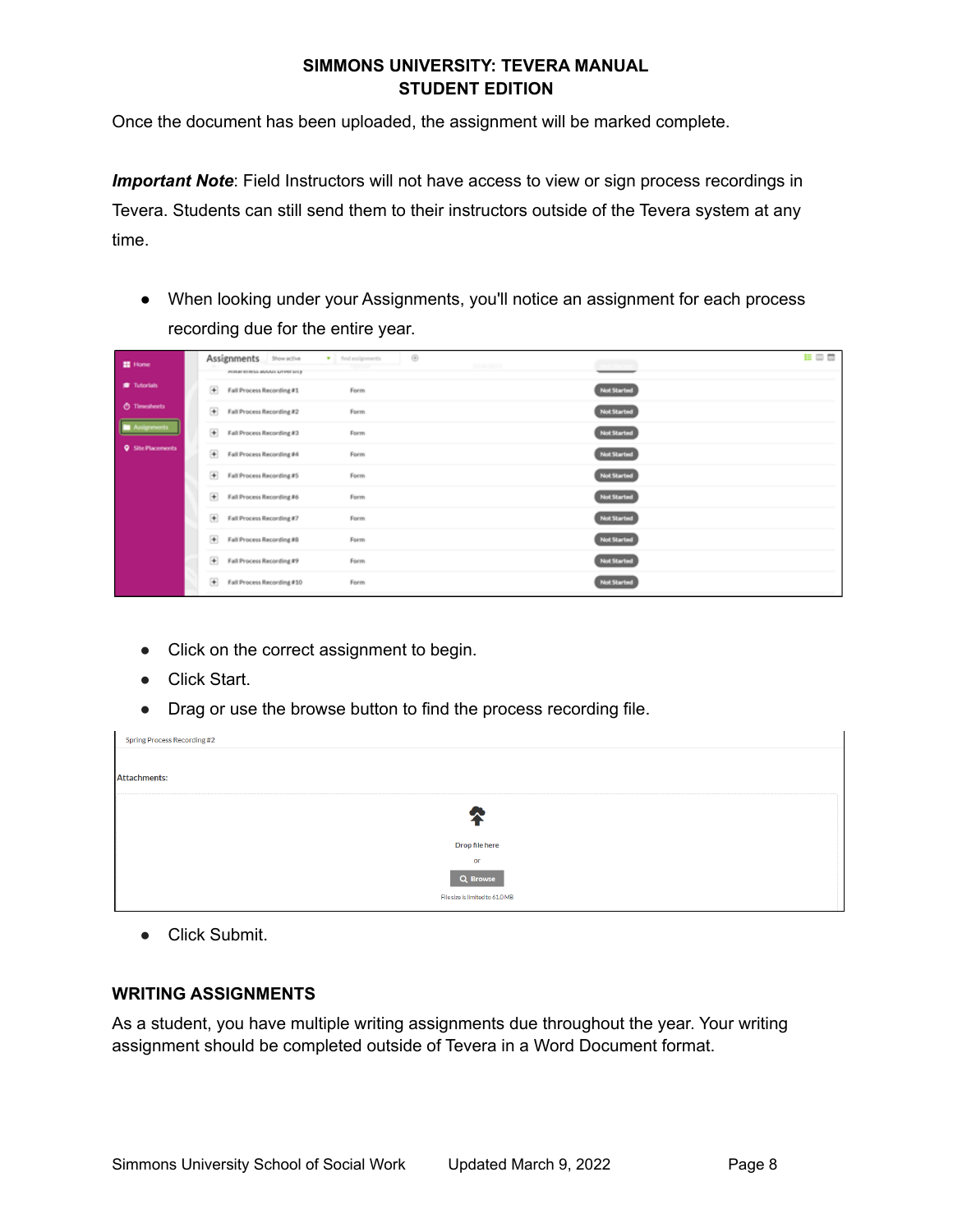Once the document has been uploaded, the assignment will be marked complete.

 *Important Note*: Field Instructors will not have access to view or sign process recordings in Tevera. Students can still send them to their instructors outside of the Tevera system at any time.

 ● When looking under your Assignments, you'll notice an assignment for each process recording due for the entire year.

| <b>EE</b> Home             | Assignments Show active<br><b>POTOR STRING BUSINE LITTER STLY</b> | · find assignments | Θ<br>Shrini (2021) |                    | 目田曽 |
|----------------------------|-------------------------------------------------------------------|--------------------|--------------------|--------------------|-----|
| <b>O</b> Tutorials         | Fall Process Recording #1                                         | Form               |                    | <b>Not Started</b> |     |
| <b><i>O</i></b> Timesheets | + Fall Process Recording #2                                       | Form               |                    | <b>Not Started</b> |     |
| ssignments                 | + Fall Process Recording #3                                       | Form               |                    | <b>Not Started</b> |     |
| <b>Q</b> Site Placements   | Fall Process Recording #4                                         | Form               |                    | <b>Not Started</b> |     |
|                            | Fall Process Recording #5                                         | Form               |                    | <b>Not Started</b> |     |
|                            | + Fall Process Recording #6                                       | Form               |                    | <b>Not Started</b> |     |
|                            | + Fall Process Recording #7                                       | Form               |                    | <b>Not Started</b> |     |
|                            | Fall Process Recording #8                                         | Form               |                    | <b>Not Started</b> |     |
|                            | Fall Process Recording #9                                         | Form               |                    | <b>Not Started</b> |     |
|                            | Fall Process Recording #10                                        | Form               |                    | <b>Not Started</b> |     |

- Click on the correct assignment to begin.
- Click Start.
- Drag or use the browse button to find the process recording file.

| Spring Process Recording #2     |  |
|---------------------------------|--|
|                                 |  |
| <b>Attachments:</b>             |  |
|                                 |  |
|                                 |  |
|                                 |  |
| Drop file here                  |  |
| or                              |  |
| Q Browse                        |  |
| File size is limited to 61.0 MB |  |

● Click Submit.

#### <span id="page-7-0"></span>**WRITING ASSIGNMENTS**

 As a student, you have multiple writing assignments due throughout the year. Your writing assignment should be completed outside of Tevera in a Word Document format.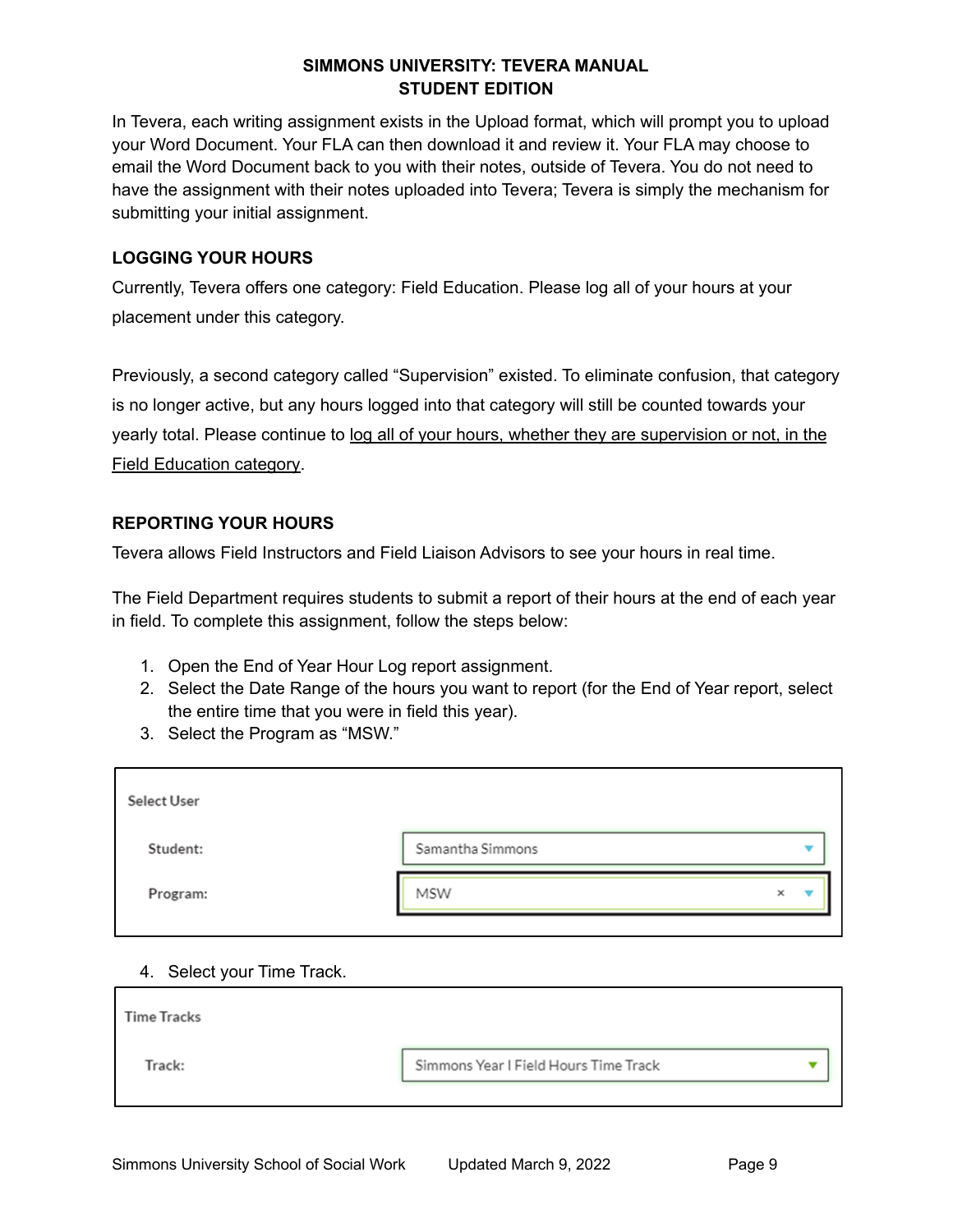In Tevera, each writing assignment exists in the Upload format, which will prompt you to upload your Word Document. Your FLA can then download it and review it. Your FLA may choose to email the Word Document back to you with their notes, outside of Tevera. You do not need to have the assignment with their notes uploaded into Tevera; Tevera is simply the mechanism for submitting your initial assignment.

## <span id="page-8-0"></span> **LOGGING YOUR HOURS**

 Currently, Tevera offers one category: Field Education. Please log all of your hours at your placement under this category.

 Previously, a second category called "Supervision" existed. To eliminate confusion, that category is no longer active, but any hours logged into that category will still be counted towards your yearly total. Please continue to log all of your hours, whether they are supervision or not, in the Field Education category.

# <span id="page-8-1"></span> **REPORTING YOUR HOURS**

Tevera allows Field Instructors and Field Liaison Advisors to see your hours in real time.

 The Field Department requires students to submit a report of their hours at the end of each year in field. To complete this assignment, follow the steps below:

- 1. Open the End of Year Hour Log report assignment.
- 2. Select the Date Range of the hours you want to report (for the End of Year report, select the entire time that you were in field this year).
- 3. Select the Program as "MSW."

| <b>Select User</b> |                  |   |  |
|--------------------|------------------|---|--|
| Student:           | Samantha Simmons |   |  |
| Program:           | <b>MSW</b>       | × |  |

#### 4. Select your Time Track.

| <b>Time Tracks</b> |                                       |  |
|--------------------|---------------------------------------|--|
| Track:             | Simmons Year I Field Hours Time Track |  |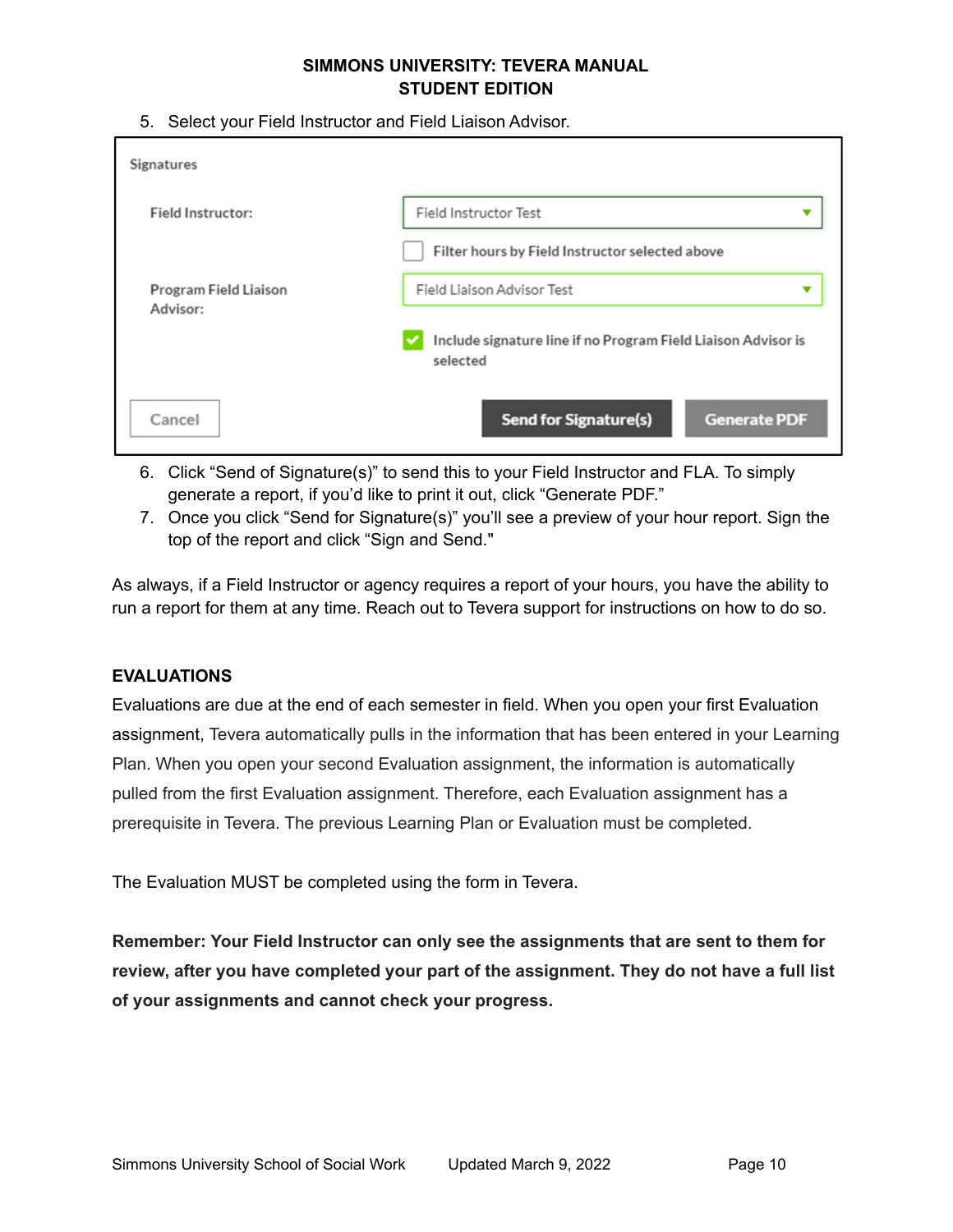5. Select your Field Instructor and Field Liaison Advisor.

| Signatures                               |                                                                           |
|------------------------------------------|---------------------------------------------------------------------------|
| Field Instructor:                        | Field Instructor Test<br>▼                                                |
|                                          | Filter hours by Field Instructor selected above                           |
| <b>Program Field Liaison</b><br>Advisor: | Field Liaison Advisor Test<br>▼                                           |
|                                          | Include signature line if no Program Field Liaison Advisor is<br>selected |
| Cancel                                   | <b>Send for Signature(s)</b><br><b>Generate PDF</b>                       |

- 6. Click "Send of Signature(s)" to send this to your Field Instructor and FLA. To simply generate a report, if you'd like to print it out, click "Generate PDF."
- 7. Once you click "Send for Signature(s)" you'll see a preview of your hour report. Sign the top of the report and click "Sign and Send."

 As always, if a Field Instructor or agency requires a report of your hours, you have the ability to run a report for them at any time. Reach out to Tevera support for instructions on how to do so.

# <span id="page-9-0"></span>**EVALUATIONS**

 Evaluations are due at the end of each semester in field. When you open your first Evaluation assignment, Tevera automatically pulls in the information that has been entered in your Learning Plan. When you open your second Evaluation assignment, the information is automatically pulled from the first Evaluation assignment. Therefore, each Evaluation assignment has a prerequisite in Tevera. The previous Learning Plan or Evaluation must be completed.

The Evaluation MUST be completed using the form in Tevera.

 **Remember: Your Field Instructor can only see the assignments that are sent to them for review, after you have completed your part of the assignment. They do not have a full list of your assignments and cannot check your progress.**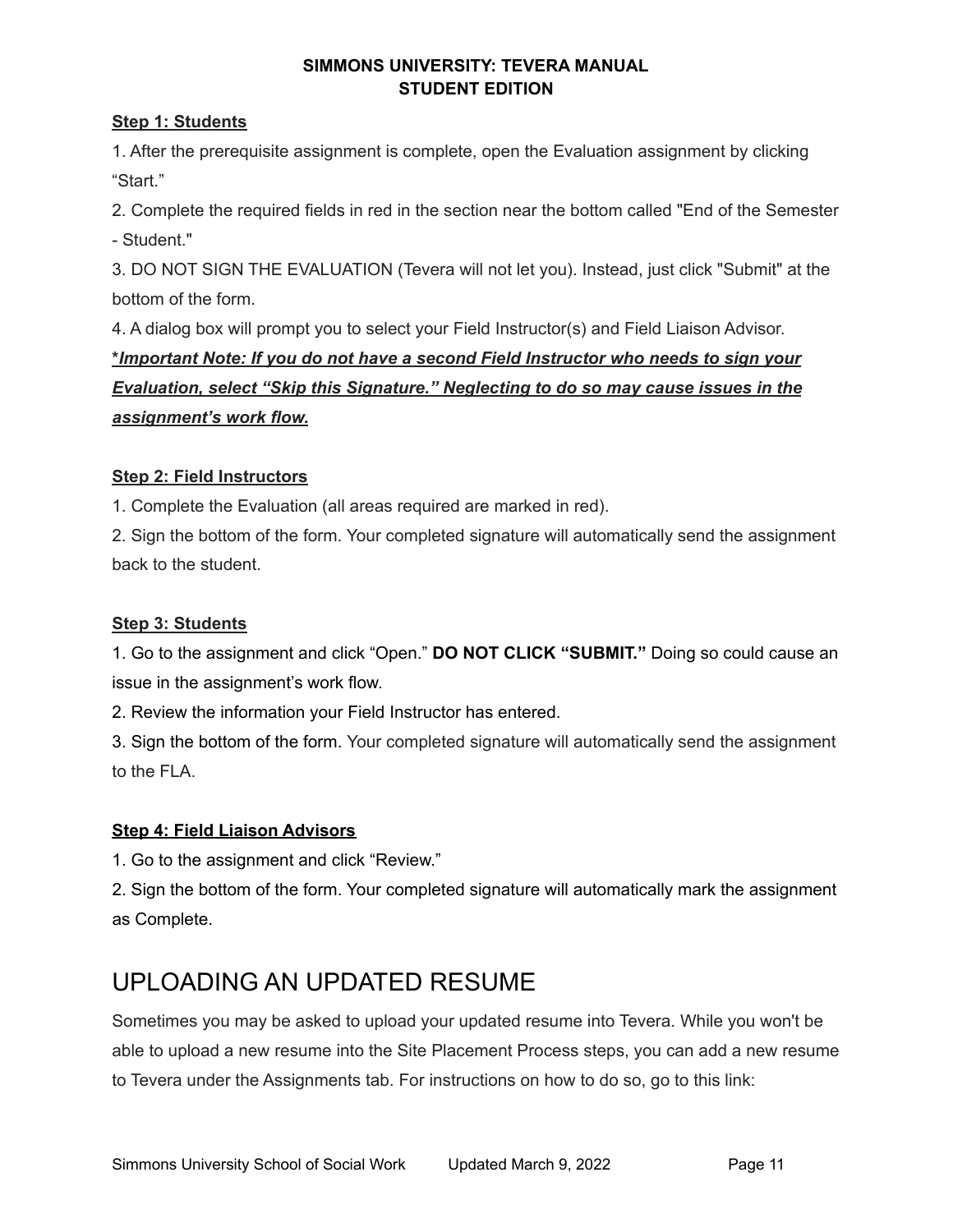# **Step 1: Students**

 1. After the prerequisite assignment is complete, open the Evaluation assignment by clicking "Start."

 2. Complete the required fields in red in the section near the bottom called "End of the Semester - Student."

 3. DO NOT SIGN THE EVALUATION (Tevera will not let you). Instead, just click "Submit" at the bottom of the form.

 4. A dialog box will prompt you to select your Field Instructor(s) and Field Liaison Advisor.  **\****Important Note: If you do not have a second Field Instructor who needs to sign your Evaluation, select "Skip this Signature." Neglecting to do so may cause issues in the assignment's work flow.*

# **Step 2: Field Instructors**

1. Complete the Evaluation (all areas required are marked in red).

 2. Sign the bottom of the form. Your completed signature will automatically send the assignment back to the student.

# **Step 3: Students**

 1. Go to the assignment and click "Open." **DO NOT CLICK "SUBMIT."** Doing so could cause an issue in the assignment's work flow.

2. Review the information your Field Instructor has entered.

 3. Sign the bottom of the form. Your completed signature will automatically send the assignment to the FLA.

# **Step 4: Field Liaison Advisors**

1. Go to the assignment and click "Review."

 2. Sign the bottom of the form. Your completed signature will automatically mark the assignment as Complete.

# <span id="page-10-0"></span>UPLOADING AN UPDATED RESUME

 Sometimes you may be asked to upload your updated resume into Tevera. While you won't be able to upload a new resume into the Site Placement Process steps, you can add a new resume to Tevera under the Assignments tab. For instructions on how to do so, go to this link: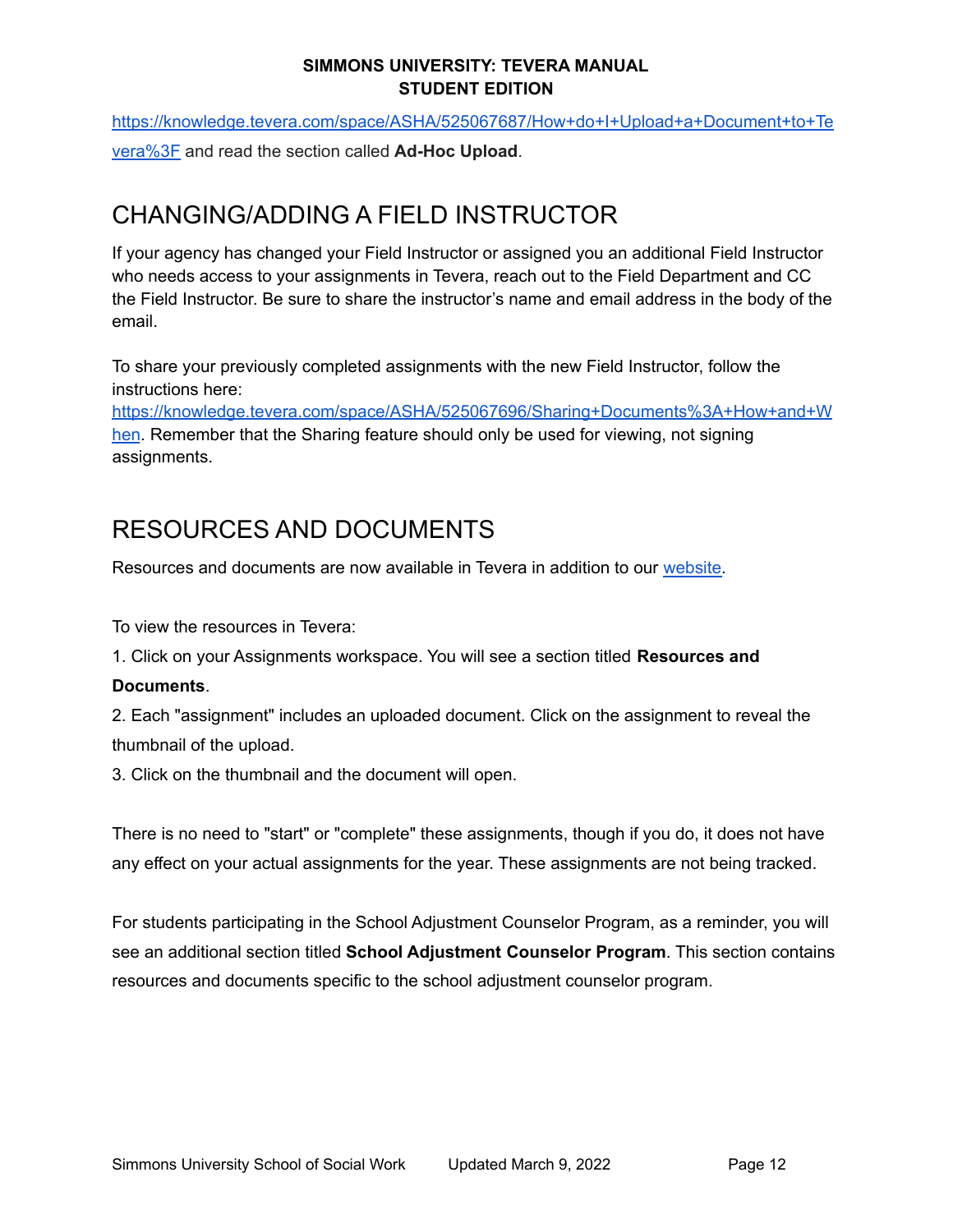[vera%3F](https://knowledge.tevera.com/space/ASHA/525067687/How+do+I+Upload+a+Document+to+Tevera%3F) and read the section called **Ad-Hoc Upload**. [https://knowledge.tevera.com/space/ASHA/525067687/How+do+I+Upload+a+Document+to+Te](https://knowledge.tevera.com/space/ASHA/525067687/How+do+I+Upload+a+Document+to+Tevera%3F)

# <span id="page-11-0"></span>CHANGING/ADDING A FIELD INSTRUCTOR

 If your agency has changed your Field Instructor or assigned you an additional Field Instructor who needs access to your assignments in Tevera, reach out to the Field Department and CC the Field Instructor. Be sure to share the instructor's name and email address in the body of the email.

 To share your previously completed assignments with the new Field Instructor, follow the instructions here:

[hen](https://knowledge.tevera.com/space/ASHA/525067696/Sharing+Documents%3A+How+and+When). Remember that the Sharing feature should only be used for viewing, not signing [https://knowledge.tevera.com/space/ASHA/525067696/Sharing+Documents%3A+How+and+W](https://knowledge.tevera.com/space/ASHA/525067696/Sharing+Documents%3A+How+and+When) assignments.

# <span id="page-11-1"></span>RESOURCES AND DOCUMENTS

Resources and documents are now available in Tevera in addition to our [website.](https://b1ae85fb9efe7a12ce4391222232182a.tinyemails.com/01b878a8878a7ae90f4e2fe64fa820c9/c90ce478a3be8611958c7b9c697ec154.html)

To view the resources in Tevera:

1. Click on your Assignments workspace. You will see a section titled **Resources and**

# **Documents**.

 2. Each "assignment" includes an uploaded document. Click on the assignment to reveal the thumbnail of the upload.

3. Click on the thumbnail and the document will open.

 There is no need to "start" or "complete" these assignments, though if you do, it does not have any effect on your actual assignments for the year. These assignments are not being tracked.

 For students participating in the School Adjustment Counselor Program, as a reminder, you will see an additional section titled **School Adjustment Counselor Program**. This section contains resources and documents specific to the school adjustment counselor program.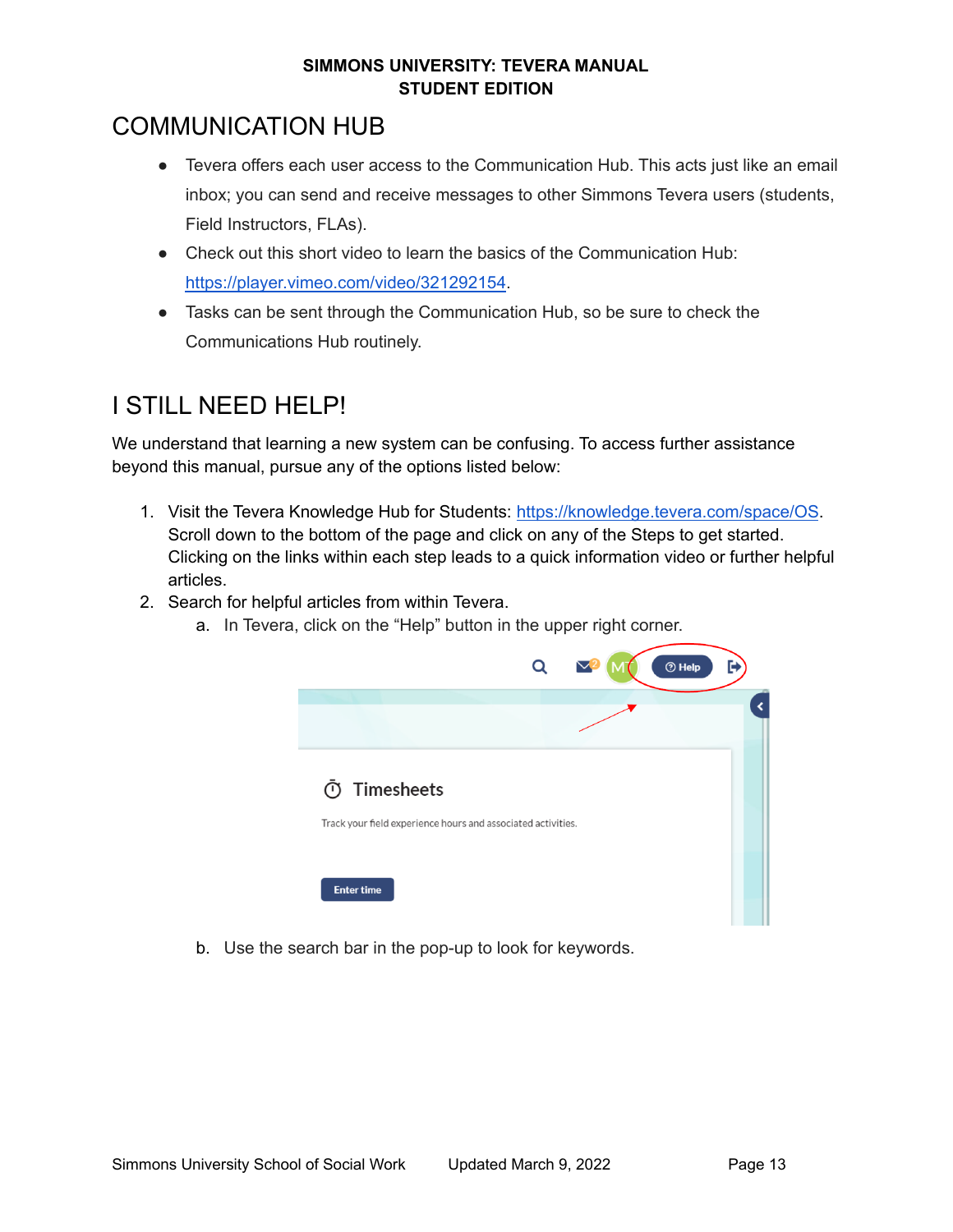# <span id="page-12-0"></span>COMMUNICATION HUB

- ● Tevera offers each user access to the Communication Hub. This acts just like an email inbox; you can send and receive messages to other Simmons Tevera users (students, Field Instructors, FLAs).
- ● Check out this short video to learn the basics of the Communication Hub: <https://player.vimeo.com/video/321292154>.
- ● Tasks can be sent through the Communication Hub, so be sure to check the Communications Hub routinely.

# <span id="page-12-1"></span>I STILL NEED HELP!

 We understand that learning a new system can be confusing. To access further assistance beyond this manual, pursue any of the options listed below:

- 1. Visit the Tevera Knowledge Hub for Students: <https://knowledge.tevera.com/space/OS>. Scroll down to the bottom of the page and click on any of the Steps to get started. Clicking on the links within each step leads to a quick information video or further helpful articles.
- 2. Search for helpful articles from within Tevera.
	- a. In Tevera, click on the "Help" button in the upper right corner.



b. Use the search bar in the pop-up to look for keywords.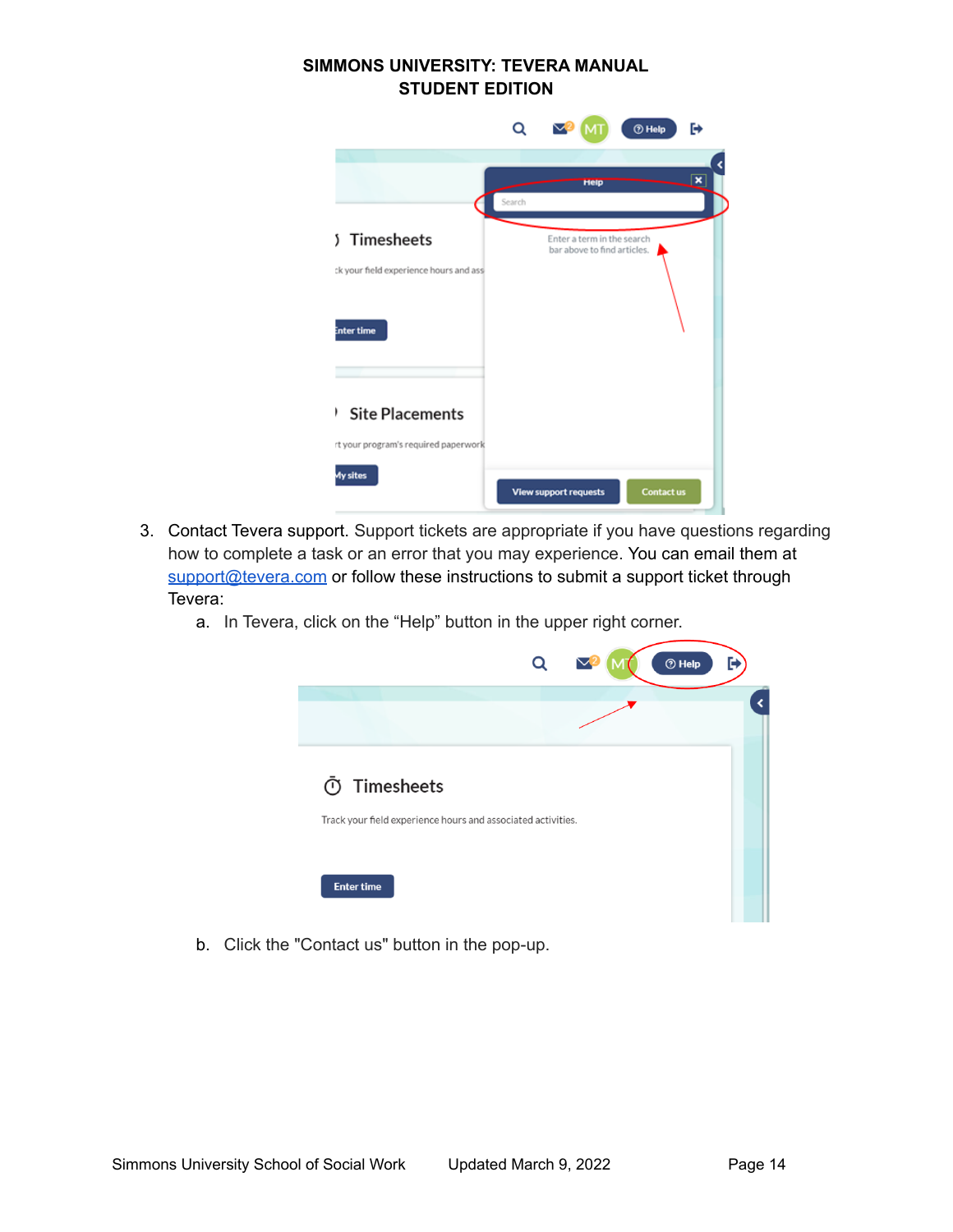| SIMMONS UNIVERSITY: TEVERA MANUAL<br><b>STUDENT EDITION</b>         |        |                                                           |                   |                         |
|---------------------------------------------------------------------|--------|-----------------------------------------------------------|-------------------|-------------------------|
|                                                                     | Q      | $\nabla^2$<br>MT                                          | <b>THelp</b>      | ₧                       |
|                                                                     |        |                                                           |                   |                         |
|                                                                     | Search | Help                                                      |                   | $\overline{\mathbf{x}}$ |
| Timesheets<br>Ž.                                                    |        | Enter a term in the search<br>bar above to find articles. |                   |                         |
| ck your field experience hours and ass<br>inter time                |        |                                                           |                   |                         |
| <b>Site Placements</b><br>۱<br>rt your program's required paperwork |        |                                                           |                   |                         |
| My sites                                                            |        | <b>View support requests</b>                              | <b>Contact us</b> |                         |

- 3. Contact Tevera support. Support tickets are appropriate if you have questions regarding how to complete a task or an error that you may experience. You can email them at [support@tevera.com](mailto:support@tevera.com)</u> or follow these instructions to submit a support ticket through Tevera:
	- a. In Tevera, click on the "Help" button in the upper right corner.

|                                                              | Q | $①$ Help | Θ |
|--------------------------------------------------------------|---|----------|---|
|                                                              |   |          |   |
| <b><i>O</i></b> Timesheets                                   |   |          |   |
| Track your field experience hours and associated activities. |   |          |   |

b. Click the "Contact us" button in the pop-up.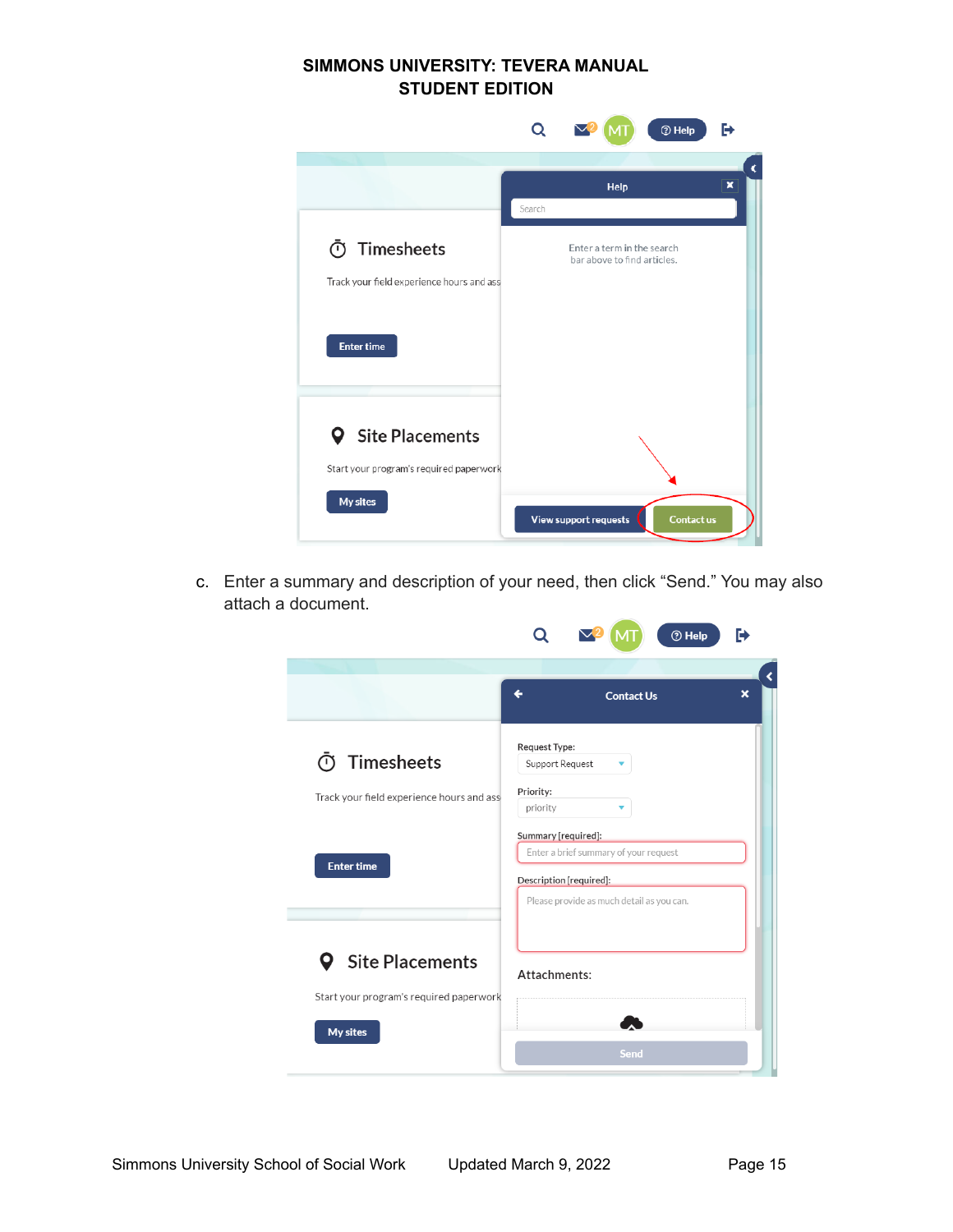|                                                                                 | Q      | $\blacktriangledown$                                      | <b>O</b> Help     | Ռ |
|---------------------------------------------------------------------------------|--------|-----------------------------------------------------------|-------------------|---|
|                                                                                 |        |                                                           |                   |   |
|                                                                                 |        | Help                                                      |                   | × |
|                                                                                 | Search |                                                           |                   |   |
| Timesheets<br>൱                                                                 |        | Enter a term in the search<br>bar above to find articles. |                   |   |
| Track your field experience hours and ass                                       |        |                                                           |                   |   |
| <b>Enter time</b>                                                               |        |                                                           |                   |   |
| <b>Q</b> Site Placements<br>Start your program's required paperwork<br>My sites |        | <b>View support requests</b>                              | <b>Contact us</b> |   |

 c. Enter a summary and description of your need, then click "Send." You may also attach a document.

|                                           | <b><sup>⑦</sup> Help</b><br>Н                                                           |
|-------------------------------------------|-----------------------------------------------------------------------------------------|
|                                           | ×<br><b>Contact Us</b>                                                                  |
|                                           |                                                                                         |
| Timesheets<br>ന                           | Request Type:<br>Support Request                                                        |
| Track your field experience hours and ass | Priority:<br>priority                                                                   |
| <b>Enter time</b>                         | Summary [required]:<br>Enter a brief summary of your request<br>Description [required]: |
|                                           | Please provide as much detail as you can.                                               |
| <b>9</b> Site Placements                  | Attachments:                                                                            |
| Start your program's required paperwork   |                                                                                         |
| My sites                                  |                                                                                         |
|                                           | Send                                                                                    |